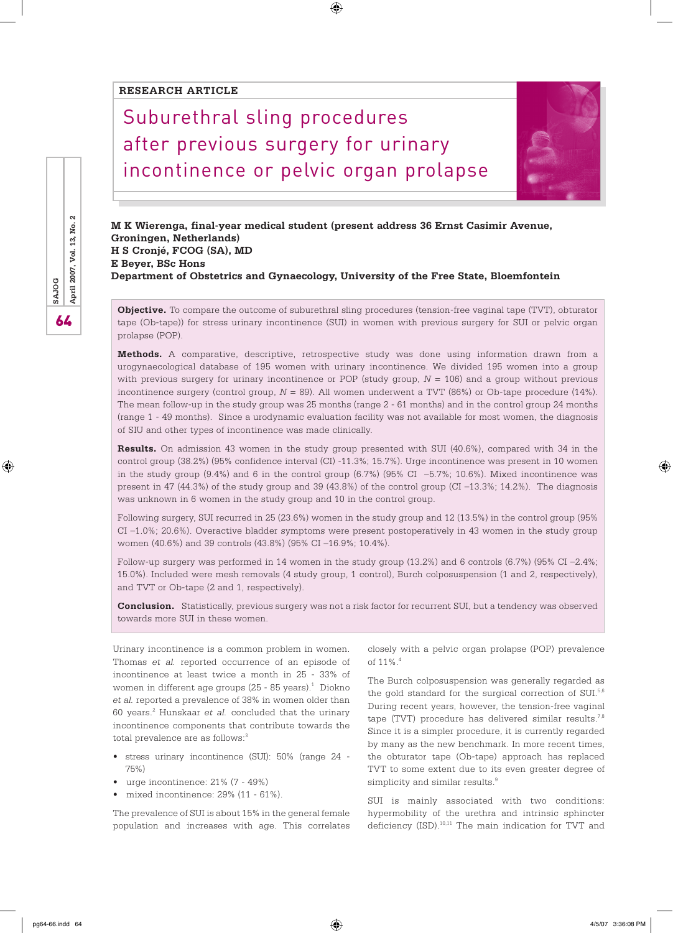### **RESEARCH ARTICLE**

# Suburethral sling procedures after previous surgery for urinary incontinence or pelvic organ prolapse



 $\bigoplus$ 

**Objective.** To compare the outcome of suburethral sling procedures (tension-free vaginal tape (TVT), obturator tape (Ob-tape)) for stress urinary incontinence (SUI) in women with previous surgery for SUI or pelvic organ prolapse (POP).

**Methods.** A comparative, descriptive, retrospective study was done using information drawn from a urogynaecological database of 195 women with urinary incontinence. We divided 195 women into a group with previous surgery for urinary incontinence or POP (study group, *N* = 106) and a group without previous incontinence surgery (control group, *N* = 89). All women underwent a TVT (86%) or Ob-tape procedure (14%). The mean follow-up in the study group was 25 months (range 2 - 61 months) and in the control group 24 months (range 1 - 49 months). Since a urodynamic evaluation facility was not available for most women, the diagnosis of SIU and other types of incontinence was made clinically.

**Results.** On admission 43 women in the study group presented with SUI (40.6%), compared with 34 in the control group (38.2%) (95% confidence interval (CI) -11.3%; 15.7%). Urge incontinence was present in 10 women in the study group (9.4%) and 6 in the control group (6.7%) (95% CI –5.7%; 10.6%). Mixed incontinence was present in 47 (44.3%) of the study group and 39 (43.8%) of the control group (CI –13.3%; 14.2%). The diagnosis was unknown in 6 women in the study group and 10 in the control group.

Following surgery, SUI recurred in 25 (23.6%) women in the study group and 12 (13.5%) in the control group (95% CI –1.0%; 20.6%). Overactive bladder symptoms were present postoperatively in 43 women in the study group women (40.6%) and 39 controls (43.8%) (95% CI –16.9%; 10.4%).

Follow-up surgery was performed in 14 women in the study group (13.2%) and 6 controls (6.7%) (95% CI –2.4%; 15.0%). Included were mesh removals (4 study group, 1 control), Burch colposuspension (1 and 2, respectively), and TVT or Ob-tape (2 and 1, respectively).

**Conclusion.** Statistically, previous surgery was not a risk factor for recurrent SUI, but a tendency was observed towards more SUI in these women.

Urinary incontinence is a common problem in women. Thomas *et al.* reported occurrence of an episode of incontinence at least twice a month in 25 - 33% of women in different age groups (25 - 85 years). $1$  Diokno *et al.* reported a prevalence of 38% in women older than 60 years.2 Hunskaar *et al.* concluded that the urinary incontinence components that contribute towards the total prevalence are as follows:<sup>3</sup>

- stress urinary incontinence (SUI): 50% (range 24 75%)
- urge incontinence: 21% (7 49%)
- mixed incontinence: 29% (11 61%).

The prevalence of SUI is about 15% in the general female population and increases with age. This correlates

closely with a pelvic organ prolapse (POP) prevalence of 11%.4

The Burch colposuspension was generally regarded as the gold standard for the surgical correction of SUI.<sup>5,6</sup> During recent years, however, the tension-free vaginal tape (TVT) procedure has delivered similar results.<sup>7,8</sup> Since it is a simpler procedure, it is currently regarded by many as the new benchmark. In more recent times, the obturator tape (Ob-tape) approach has replaced TVT to some extent due to its even greater degree of simplicity and similar results.<sup>9</sup>

SUI is mainly associated with two conditions: hypermobility of the urethra and intrinsic sphincter deficiency (ISD).<sup>10,11</sup> The main indication for TVT and

**SAJOG**<br>**April 2007, Vol. 13, No.** 

⊕

⊕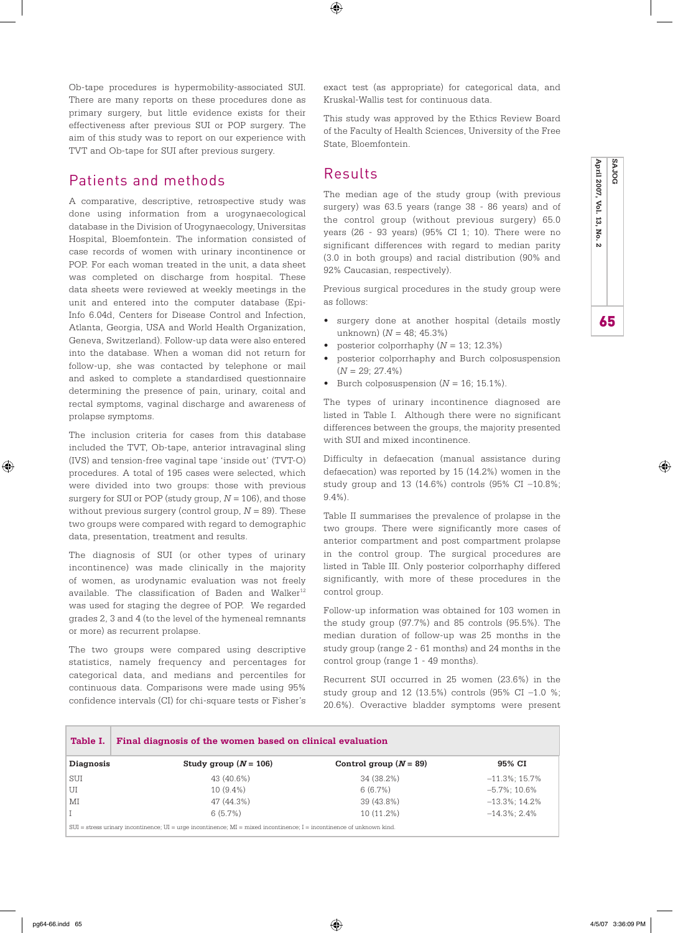Ob-tape procedures is hypermobility-associated SUI. There are many reports on these procedures done as primary surgery, but little evidence exists for their effectiveness after previous SUI or POP surgery. The aim of this study was to report on our experience with TVT and Ob-tape for SUI after previous surgery.

# Patients and methods

A comparative, descriptive, retrospective study was done using information from a urogynaecological database in the Division of Urogynaecology, Universitas Hospital, Bloemfontein. The information consisted of case records of women with urinary incontinence or POP. For each woman treated in the unit, a data sheet was completed on discharge from hospital. These data sheets were reviewed at weekly meetings in the unit and entered into the computer database (Epi-Info 6.04d, Centers for Disease Control and Infection, Atlanta, Georgia, USA and World Health Organization, Geneva, Switzerland). Follow-up data were also entered into the database. When a woman did not return for follow-up, she was contacted by telephone or mail and asked to complete a standardised questionnaire determining the presence of pain, urinary, coital and rectal symptoms, vaginal discharge and awareness of prolapse symptoms.

The inclusion criteria for cases from this database included the TVT, Ob-tape, anterior intravaginal sling (IVS) and tension-free vaginal tape 'inside out' (TVT-O) procedures. A total of 195 cases were selected, which were divided into two groups: those with previous surgery for SUI or POP (study group, *N* = 106), and those without previous surgery (control group, *N* = 89). These two groups were compared with regard to demographic data, presentation, treatment and results.

The diagnosis of SUI (or other types of urinary incontinence) was made clinically in the majority of women, as urodynamic evaluation was not freely available. The classification of Baden and Walker<sup>12</sup> was used for staging the degree of POP. We regarded grades 2, 3 and 4 (to the level of the hymeneal remnants or more) as recurrent prolapse.

The two groups were compared using descriptive statistics, namely frequency and percentages for categorical data, and medians and percentiles for continuous data. Comparisons were made using 95% confidence intervals (CI) for chi-square tests or Fisher's exact test (as appropriate) for categorical data, and Kruskal-Wallis test for continuous data.

This study was approved by the Ethics Review Board of the Faculty of Health Sciences, University of the Free State, Bloemfontein.

## Results

The median age of the study group (with previous surgery) was 63.5 years (range 38 - 86 years) and of the control group (without previous surgery) 65.0 years (26 - 93 years) (95% CI 1; 10). There were no significant differences with regard to median parity (3.0 in both groups) and racial distribution (90% and 92% Caucasian, respectively).

Previous surgical procedures in the study group were as follows:

- surgery done at another hospital (details mostly unknown) (*N* = 48; 45.3%)
- posterior colporrhaphy (*N* = 13; 12.3%)
- posterior colporrhaphy and Burch colposuspension  $(N = 29; 27.4\%)$
- Burch colposuspension  $(N = 16; 15.1\%).$

The types of urinary incontinence diagnosed are listed in Table I. Although there were no significant differences between the groups, the majority presented with SUI and mixed incontinence.

Difficulty in defaecation (manual assistance during defaecation) was reported by 15 (14.2%) women in the study group and 13 (14.6%) controls (95% CI –10.8%; 9.4%).

Table II summarises the prevalence of prolapse in the two groups. There were significantly more cases of anterior compartment and post compartment prolapse in the control group. The surgical procedures are listed in Table III. Only posterior colporrhaphy differed significantly, with more of these procedures in the control group.

Follow-up information was obtained for 103 women in the study group (97.7%) and 85 controls (95.5%). The median duration of follow-up was 25 months in the study group (range 2 - 61 months) and 24 months in the control group (range 1 - 49 months).

Recurrent SUI occurred in 25 women (23.6%) in the study group and 12 (13.5%) controls (95% CI –1.0 %; 20.6%). Overactive bladder symptoms were present

| Table I.                                                                                                                      | Final diagnosis of the women based on clinical evaluation |                          |                   |  |  |
|-------------------------------------------------------------------------------------------------------------------------------|-----------------------------------------------------------|--------------------------|-------------------|--|--|
| Diagnosis                                                                                                                     | Study group $(N = 106)$                                   | Control group $(N = 89)$ | 95% CI            |  |  |
| SUI                                                                                                                           | 43 (40.6%)                                                | 34 (38.2%)               | $-11.3\%$ : 15.7% |  |  |
| UI                                                                                                                            | $10(9.4\%)$                                               | 6(6.7%)                  | $-5.7\%$ : 10.6%  |  |  |
| MI                                                                                                                            | 47 (44.3%)                                                | 39 (43.8%)               | $-13.3\%$ ; 14.2% |  |  |
|                                                                                                                               | 6(5.7%)                                                   | $10(11.2\%)$             | $-14.3\%$ : 2.4%  |  |  |
| $SUI$ = stress urinary incontinence; $UI$ = urge incontinence; $MI$ = mixed incontinence; $I$ = incontinence of unknown kind. |                                                           |                          |                   |  |  |

⊕

♠

 $\bigoplus$